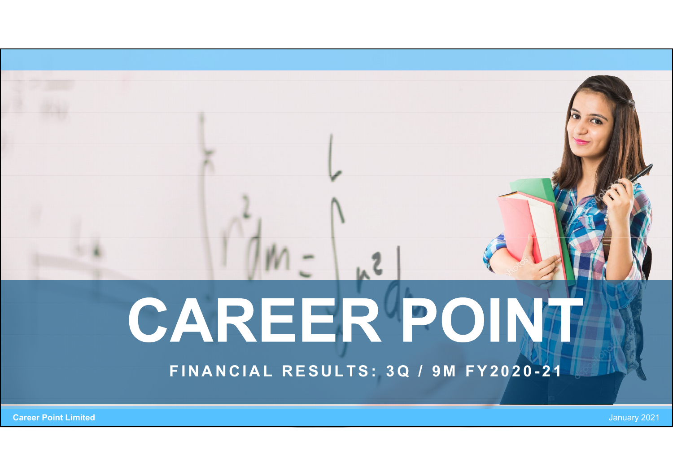# $AR E R P O N$ CAREER POINT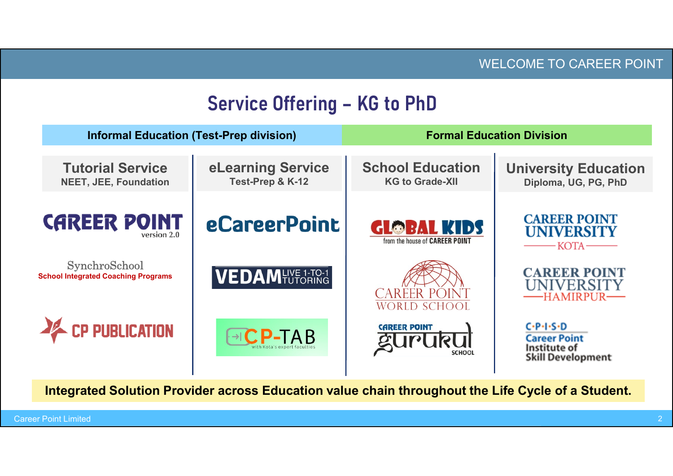|                                                             |                                       |                                                      | <b>WELCOME TO CAREER POINT</b>                                                |  |  |
|-------------------------------------------------------------|---------------------------------------|------------------------------------------------------|-------------------------------------------------------------------------------|--|--|
|                                                             | <b>Service Offering - KG to PhD</b>   |                                                      |                                                                               |  |  |
| <b>Informal Education (Test-Prep division)</b>              |                                       |                                                      | <b>Formal Education Division</b>                                              |  |  |
| <b>Tutorial Service</b><br><b>NEET, JEE, Foundation</b>     | eLearning Service<br>Test-Prep & K-12 | <b>School Education</b><br><b>KG to Grade-XII</b>    | <b>University Education</b><br>Diploma, UG, PG, PhD                           |  |  |
| <b>CAREER POINT</b><br>version 2.0                          | <b>eCareerPoint</b>                   | <b>GLOBAL KIDS</b><br>from the house of CAREER POINT | <b>CAREER POINT</b><br><b>UNIVERSITY</b><br>KOTA                              |  |  |
| SynchroSchool<br><b>School Integrated Coaching Programs</b> | <b>VEDAMENT 1-TO-1</b>                | <b>CAREER POINT</b><br><b>WORLD SCHOOL</b>           | <b>CAREER POINT</b><br><b>UNIVERSITY</b><br>--HAMIRPUR-                       |  |  |
| <b>EP PUBLICATION</b>                                       | $\neg$ CP-TAB                         | <b>CAREER POINT</b><br><b>SCHOOL</b>                 | $C-P-IS-D$<br><b>Career Point</b><br>Institute of<br><b>Skill Development</b> |  |  |
|                                                             |                                       |                                                      |                                                                               |  |  |

Integrated Solution Provider across Education value chain throughout the Life Cycle of a Student.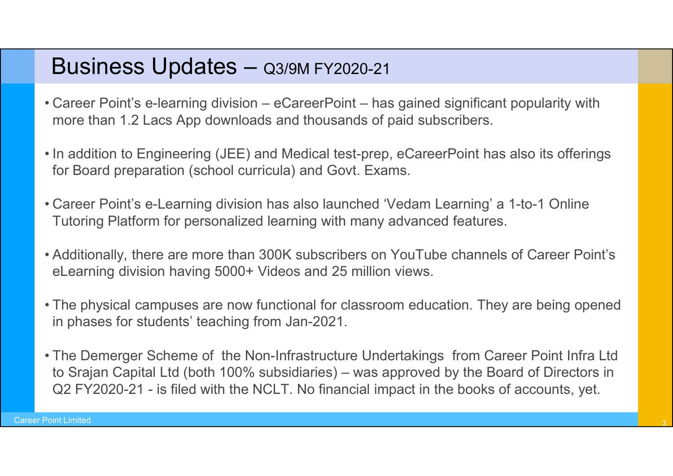#### Business Updates - Q3/9M FY2020-21

- Career Point's e-learning division eCareerPoint has gained significant popularity with<br>• Career Point's e-learning division eCareerPoint has gained significant popularity with<br>• In addition to Engineering (JEE) a **Business Updates — Q3/9M FY2020-21**<br>Career Point's e-learning division – eCareerPoint – has gained significant popularity<br>more than 1.2 Lacs App downloads and thousands of paid subscribers.<br>In addition to Engineering (JEE
- Career Point's e-learning division eCareerPoint has gained significant popularity with<br>• Career Point's e-learning division eCareerPoint has gained significant popularity with<br>• In addition to Engineering (JEE) a for Board preparation (school curricula) and Govt. Exams. **Business Updates —**  $Q3/9M$  FY2020-21<br>
• Career Point's e-learning division – eCareerPoint – has gained significant popularity with<br>
more than 1.2 Lacs App downloads and thousands of paid subscribers.<br>
• In addition to E
- Tutoring Platform for personalized learning with many advanced features.
- **Business Updates Q3/9M FY2020-21**<br>• Career Point's e-learning division eCareerPoint has gained significant popularity with<br>more than 1.2 Lacs App downloads and thousands of paid subscribers.<br>• In addition to Enginee eLearning division having 5000+ Videos and 25 million views.
- Career Point's e-learning division eCareerPoint has gained significant popularity with<br>
more than 1.2 Lacs App downloads and thousands of paid subscribers.<br>
 In addition to Engineering (JEE) and Medical test-prep, e in phases for students' teaching from Jan-2021.
- In addition to Engineering (JEE) and Medical test-prep, eCareerPoint has also its offerings<br>for Board preparation (school curricula) and Govt. Exams.<br>• Career Point's e-Learning division has also launched 'Vedam Learning for Board preparation (school curricula) and Govt. Exams.<br>
Career Point's e-Learning division has also launched 'Vedam Learning' a 1-to-1 Online<br>
Tutoring Platform for personalized learning with many advanced features.<br>
Ad Career Point's e-Learning division has also launched 'Vedam Learning' a 1-to-1 Online<br>Tutoring Platform for personalized learning with many advanced features.<br>Additionally, there are more than 300K subscribers on YouTube c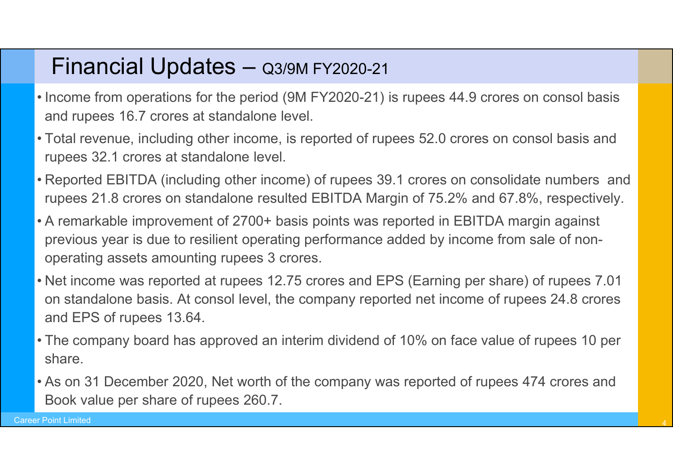#### Financial Updates – Q3/9M FY2020-21

- Income from operations for the period (9M FY2020-21) is rupees 44.9 crores on consol basis<br>• Income from operations for the period (9M FY2020-21) is rupees 44.9 crores on consol basis<br>• Total revenue, including other inc
- Financial Updates Q3/9M FY2020-21<br>Income from operations for the period (9M FY2020-21) is rupees 4<br>and rupees 16.7 crores at standalone level.<br>Total revenue, including other income, is reported of rupees 52.0 c<br>rupees 32 • Total revenue, including other income, is reported of rupees 44.9 crores on consol basis and rupees 16.7 crores at standalone level.<br>• Total revenue, including other income, is reported of rupees 52.0 crores on consol ba
- Financial Updates Q3/9M FY2020-21<br>Income from operations for the period (9M FY2020-21) is rupe<br>and rupees 16.7 crores at standalone level.<br>Total revenue, including other income, is reported of rupees 5<br>rupees 32.1 crores • Reported EBITDA (including other income) of rupees 39.1 crores on consol basis and rupees 16.7 crores at standalone level.<br>• Total revenue, including other income, is reported of rupees 52.0 crores on consol basis and ru
- Financial Updates Q3/9M FY2020-21<br>Income from operations for the period (9M FY2020-21) is rupees 44.9 crores on consol basis<br>and rupees 16.7 crores at standalone level.<br>Total revenue, including other income, is reported • Financial Updates — Q3/9M FY2020-21<br>• Income from operations for the period (9M FY2020-21) is rupees 44.9 crores on consol basis<br>• and rupees 16.7 crores at standalone level.<br>• Total revenue, including other income, is r previous year is due to resilient operating performance added by income from sale of nonoperating assets amounting rupees 3 crores.
- Income from operations for the period (9M FY2020-21) is rupees 44.9 crores on consol basis<br>
 Total revenue, including other income, is reported of rupees 52.0 crores on consol basis and<br>
 Total revenue, including other on standalone basis. At consol level, the company reported net income of rupees 24.8 crores and EPS of rupees 13.64. • Total revenue, including other income, is reported of rupees 52.0 crores on consol basis and<br>
• Reported EBITDA (including other income) of rupees 39.1 crores on consolidate numbers and<br>
• Reported EBITDA (including othe • Reported EBITDA (including other income) of rupees 39.1 crores on consolidate numbers and rupees 21.8 crores on standalone resulted EBITDA Margin of 75.2% and 67.8%, respectively.<br>• A remarkable improvement of 2700+ basi
- share.
- Book value per share of rupees 260.7.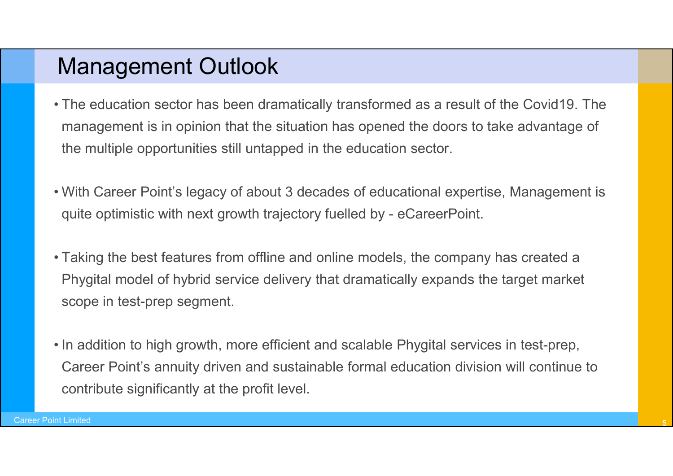#### Management Outlook

- Management Outlook<br>• The education sector has been dramatically transformed as a result of the Covid19. The<br>management is in opinion that the situation has opened the doors to take advantage of<br>the multiple opportunities s management is in opinion that the situation has opened the doors to take advantage of the multiple opportunities still untapped in the education sector. First education sector has been dramatically transformed as a result of the Covid19. The management is in opinion that the situation has opened the doors to take advantage of the multiple opportunities still untapped in th Management Outlook<br>The education sector has been dramatically transformed as a result of the Covid19. The<br>management is in opinion that the situation has opened the doors to take advantage of<br>the multiple opportunities sti • The education sector has been dramatically transformed as a result of the Covid19. The management is in opinion that the situation has opened the doors to take advantage of the multiple opportunities still untapped in t The education sector has been dramatically transformed as a result of the Covid19. The<br>management is in opinion that the situation has opened the doors to take advantage of<br>the multiple opportunities still untapped in the
- 
- scope in test-prep segment.
- In addition to high growth, more efficient and scalable Phygital services in test-prep,<br>
 Taking the best features from offline and online models, the company has created a<br>
 Taking the best features from offline and o Career Point's annuity driven and sustainable formal education division will continue to contribute significantly at the profit level.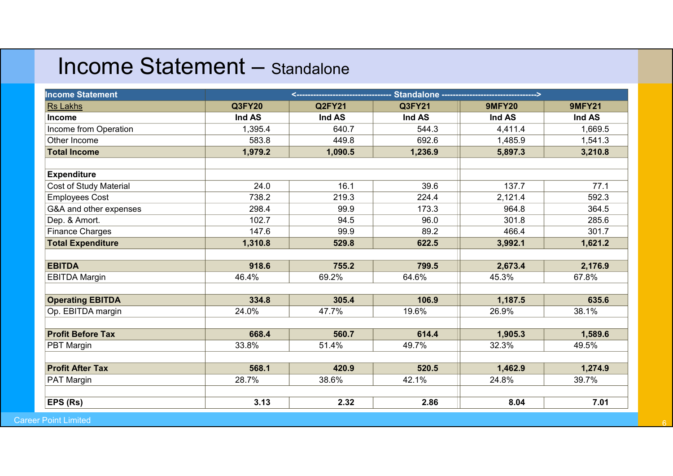## Income Statement – Standalone

| <b>Income Statement - Standalone</b> |         |                   |         |                                                 |               |
|--------------------------------------|---------|-------------------|---------|-------------------------------------------------|---------------|
| <b>Income Statement</b>              |         | <---------------- |         | Standalone -----------------------------------> |               |
| <b>Rs Lakhs</b>                      | Q3FY20  | <b>Q2FY21</b>     | Q3FY21  | <b>9MFY20</b>                                   | <b>9MFY21</b> |
| Income                               | Ind AS  | Ind AS            | Ind AS  | Ind AS                                          | Ind AS        |
| Income from Operation                | 1,395.4 | 640.7             | 544.3   | 4,411.4                                         | 1,669.5       |
| Other Income                         | 583.8   | 449.8             | 692.6   | 1,485.9                                         | 1,541.3       |
| <b>Total Income</b>                  | 1,979.2 | 1,090.5           | 1,236.9 | 5,897.3                                         | 3,210.8       |
| <b>Expenditure</b>                   |         |                   |         |                                                 |               |
| Cost of Study Material               | 24.0    | 16.1              | 39.6    | 137.7                                           | 77.1          |
| <b>Employees Cost</b>                | 738.2   | 219.3             | 224.4   | 2,121.4                                         | 592.3         |
| G&A and other expenses               | 298.4   | 99.9              | 173.3   | 964.8                                           | 364.5         |
| Dep. & Amort.                        | 102.7   | 94.5              | 96.0    | 301.8                                           | 285.6         |
| <b>Finance Charges</b>               | 147.6   | 99.9              | 89.2    | 466.4                                           | 301.7         |
| <b>Total Expenditure</b>             | 1,310.8 | 529.8             | 622.5   | 3,992.1                                         | 1,621.2       |
| <b>EBITDA</b>                        | 918.6   | 755.2             | 799.5   | 2,673.4                                         | 2,176.9       |
| <b>EBITDA Margin</b>                 | 46.4%   | 69.2%             | 64.6%   | 45.3%                                           | 67.8%         |
| <b>Operating EBITDA</b>              | 334.8   | 305.4             | 106.9   | 1,187.5                                         | 635.6         |
| Op. EBITDA margin                    | 24.0%   | 47.7%             | 19.6%   | 26.9%                                           | 38.1%         |
|                                      |         |                   |         |                                                 |               |
| <b>Profit Before Tax</b>             | 668.4   | 560.7             | 614.4   | 1,905.3                                         | 1,589.6       |
| PBT Margin                           | 33.8%   | 51.4%             | 49.7%   | 32.3%                                           | 49.5%         |
| <b>Profit After Tax</b>              | 568.1   | 420.9             | 520.5   | 1,462.9                                         | 1,274.9       |
| PAT Margin                           | 28.7%   | 38.6%             | 42.1%   | 24.8%                                           | 39.7%         |
|                                      |         |                   |         |                                                 |               |
| <b>EPS</b> (Rs)                      | 3.13    | 2.32              | 2.86    | 8.04                                            | 7.01          |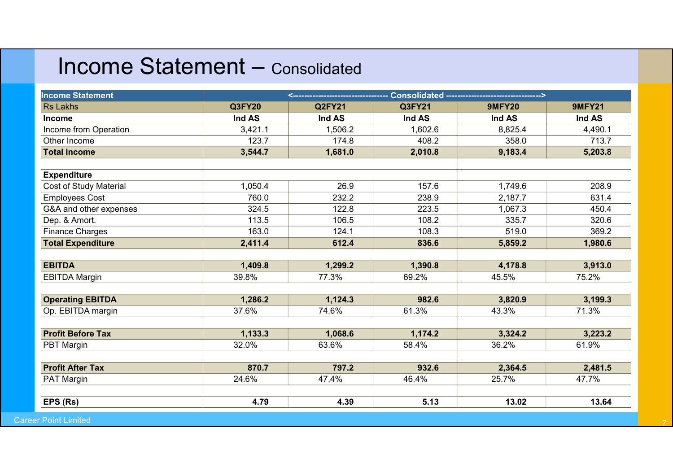## Income Statement – Consolidated

|                                            |         | <b>Income Statement - Consolidated</b> |                               |               |               |  |
|--------------------------------------------|---------|----------------------------------------|-------------------------------|---------------|---------------|--|
|                                            |         |                                        |                               |               |               |  |
| <b>Income Statement</b><br><b>Rs Lakhs</b> | Q3FY20  | $\leftarrow$<br><b>Q2FY21</b>          | <b>Consolidated</b><br>Q3FY21 | <b>9MFY20</b> | <b>9MFY21</b> |  |
| Income                                     | Ind AS  | Ind AS                                 | Ind AS                        | Ind AS        | Ind AS        |  |
| Income from Operation                      | 3,421.1 | 1,506.2                                | 1,602.6                       | 8,825.4       | 4,490.1       |  |
| Other Income                               | 123.7   | 174.8                                  | 408.2                         | 358.0         | 713.7         |  |
| <b>Total Income</b>                        | 3,544.7 | 1,681.0                                | 2,010.8                       | 9,183.4       | 5,203.8       |  |
| <b>Expenditure</b>                         |         |                                        |                               |               |               |  |
| Cost of Study Material                     | 1,050.4 | 26.9                                   | 157.6                         | 1,749.6       | 208.9         |  |
| Employees Cost                             | 760.0   | 232.2                                  | 238.9                         | 2,187.7       | 631.4         |  |
| G&A and other expenses                     | 324.5   | 122.8                                  | 223.5                         | 1,067.3       | 450.4         |  |
| Dep. & Amort.                              | 113.5   | 106.5                                  | 108.2                         | 335.7         | 320.6         |  |
| Finance Charges                            | 163.0   | 124.1                                  | 108.3                         | 519.0         | 369.2         |  |
| <b>Total Expenditure</b>                   | 2,411.4 | 612.4                                  | 836.6                         | 5,859.2       | 1,980.6       |  |
| <b>EBITDA</b>                              | 1,409.8 | 1,299.2                                | 1,390.8                       | 4,178.8       | 3,913.0       |  |
| <b>EBITDA Margin</b>                       | 39.8%   | 77.3%                                  | 69.2%                         | 45.5%         | 75.2%         |  |
| <b>Operating EBITDA</b>                    | 1,286.2 | 1,124.3                                | 982.6                         | 3,820.9       | 3,199.3       |  |
| Op. EBITDA margin                          | 37.6%   | 74.6%                                  | 61.3%                         | 43.3%         | 71.3%         |  |
| <b>Profit Before Tax</b>                   | 1,133.3 | 1,068.6                                | 1,174.2                       | 3,324.2       | 3,223.2       |  |
| <b>PBT Margin</b>                          | 32.0%   | 63.6%                                  | 58.4%                         | 36.2%         | 61.9%         |  |
| <b>Profit After Tax</b>                    | 870.7   | 797.2                                  | 932.6                         | 2,364.5       | 2,481.5       |  |
| <b>PAT Margin</b>                          | 24.6%   | 47.4%                                  | 46.4%                         | 25.7%         | 47.7%         |  |
| EPS (Rs)                                   | 4.79    | 4.39                                   | 5.13                          | 13.02         | 13.64         |  |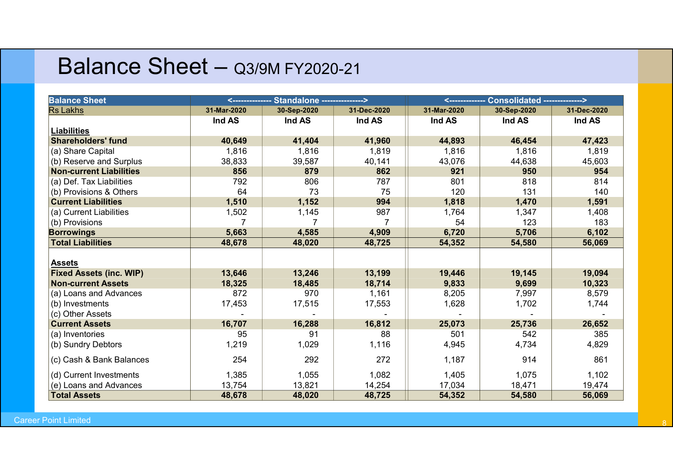#### Balance Sheet - Q3/9M FY2020-21

|                                                       |               |                                      | Balance Sheet - Q3/9M FY2020-21 |                 |                                       |              |
|-------------------------------------------------------|---------------|--------------------------------------|---------------------------------|-----------------|---------------------------------------|--------------|
| <b>Balance Sheet</b>                                  | <------------ | <b>Standalone --------------&gt;</b> |                                 | <-------------- | <b>Consolidated -------------&gt;</b> |              |
| <b>Rs Lakhs</b>                                       | 31-Mar-2020   | 30-Sep-2020                          | 31-Dec-2020                     | 31-Mar-2020     | 30-Sep-2020                           | 31-Dec-2020  |
| <b>Liabilities</b>                                    | Ind AS        | Ind AS                               | Ind AS                          | Ind AS          | Ind AS                                | Ind AS       |
| <b>Shareholders' fund</b>                             | 40,649        | 41,404                               | 41,960                          | 44,893          | 46,454                                | 47,423       |
| (a) Share Capital                                     | 1,816         | 1,816                                | 1,819                           | 1,816           | 1,816                                 | 1,819        |
|                                                       |               |                                      | 40,141                          | 43,076          |                                       |              |
| (b) Reserve and Surplus                               | 38,833        | 39,587                               |                                 |                 | 44,638                                | 45,603       |
| <b>Non-current Liabilities</b>                        | 856           | 879                                  | 862                             | 921<br>801      | 950                                   | 954<br>814   |
| (a) Def. Tax Liabilities                              | 792<br>64     | 806<br>73                            | 787<br>75                       | 120             | 818<br>131                            | 140          |
| (b) Provisions & Others<br><b>Current Liabilities</b> |               |                                      | 994                             |                 |                                       |              |
|                                                       | 1,510         | 1,152                                |                                 | 1,818           | 1,470                                 | 1,591        |
| (a) Current Liabilities                               | 1,502<br>7    | 1,145<br>7                           | 987<br>$\overline{7}$           | 1,764<br>54     | 1,347<br>123                          | 1,408<br>183 |
| (b) Provisions                                        |               |                                      |                                 |                 |                                       |              |
| <b>Borrowings</b>                                     | 5,663         | 4,585                                | 4,909                           | 6,720           | 5,706                                 | 6,102        |
| <b>Total Liabilities</b>                              | 48,678        | 48,020                               | 48,725                          | 54,352          | 54,580                                | 56,069       |
| <b>Assets</b>                                         |               |                                      |                                 |                 |                                       |              |
| <b>Fixed Assets (inc. WIP)</b>                        | 13,646        | 13,246                               | 13,199                          | 19,446          | 19,145                                | 19,094       |
| <b>Non-current Assets</b>                             | 18,325        | 18,485                               | 18,714                          | 9,833           | 9,699                                 | 10,323       |
| (a) Loans and Advances                                | 872           | 970                                  | 1,161                           | 8,205           | 7,997                                 | 8,579        |
| (b) Investments                                       | 17,453        | 17,515                               | 17,553                          | 1,628           | 1,702                                 | 1,744        |
| (c) Other Assets                                      |               |                                      |                                 |                 |                                       |              |
| <b>Current Assets</b>                                 | 16,707        | 16,288                               | 16,812                          | 25,073          | 25,736                                | 26,652       |
| (a) Inventories                                       | 95            | 91                                   | 88                              | 501             | 542                                   | 385          |
| (b) Sundry Debtors                                    | 1,219         | 1,029                                | 1,116                           | 4,945           | 4,734                                 | 4,829        |
|                                                       |               |                                      |                                 |                 |                                       |              |
| (c) Cash & Bank Balances                              | 254           | 292                                  | 272                             | 1,187           | 914                                   | 861          |
| (d) Current Investments                               | 1,385         | 1,055                                | 1,082                           | 1,405           | 1,075                                 | 1,102        |
| (e) Loans and Advances                                | 13,754        | 13,821                               | 14,254                          | 17,034          | 18,471                                | 19,474       |
| <b>Total Assets</b>                                   | 48,678        | 48,020                               | 48,725                          | 54,352          | 54,580                                | 56,069       |